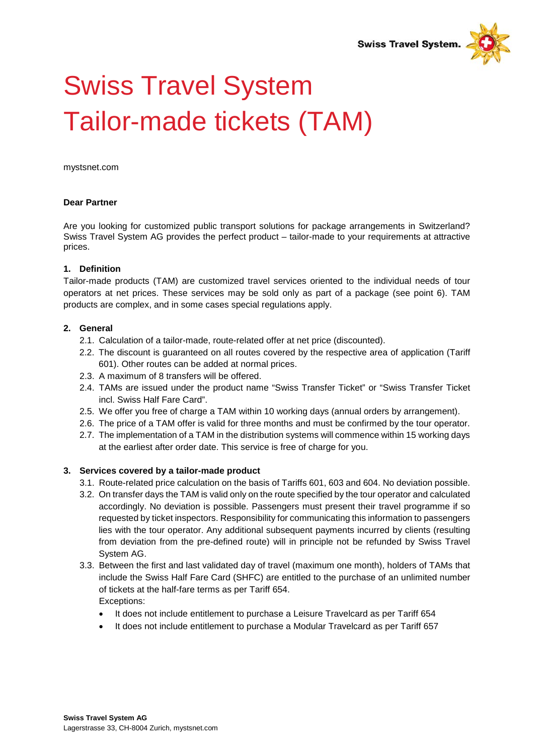

# Swiss Travel System Tailor-made tickets (TAM)

[mystsnet.com](http://www.mystsnet.com/)

#### **Dear Partner**

Are you looking for customized public transport solutions for package arrangements in Switzerland? Swiss Travel System AG provides the perfect product – tailor-made to your requirements at attractive prices.

#### **1. Definition**

Tailor-made products (TAM) are customized travel services oriented to the individual needs of tour operators at net prices. These services may be sold only as part of a package (see point 6). TAM products are complex, and in some cases special regulations apply.

### **2. General**

- 2.1. Calculation of a tailor-made, route-related offer at net price (discounted).
- 2.2. The discount is guaranteed on all routes covered by the respective area of application (Tariff 601). Other routes can be added at normal prices.
- 2.3. A maximum of 8 transfers will be offered.
- 2.4. TAMs are issued under the product name "Swiss Transfer Ticket" or "Swiss Transfer Ticket incl. Swiss Half Fare Card".
- 2.5. We offer you free of charge a TAM within 10 working days (annual orders by arrangement).
- 2.6. The price of a TAM offer is valid for three months and must be confirmed by the tour operator.
- 2.7. The implementation of a TAM in the distribution systems will commence within 15 working days at the earliest after order date. This service is free of charge for you.

#### **3. Services covered by a tailor-made product**

- 3.1. Route-related price calculation on the basis of Tariffs 601, 603 and 604. No deviation possible.
- 3.2. On transfer days the TAM is valid only on the route specified by the tour operator and calculated accordingly. No deviation is possible. Passengers must present their travel programme if so requested by ticket inspectors. Responsibility for communicating this information to passengers lies with the tour operator. Any additional subsequent payments incurred by clients (resulting from deviation from the pre-defined route) will in principle not be refunded by Swiss Travel System AG.
- 3.3. Between the first and last validated day of travel (maximum one month), holders of TAMs that include the Swiss Half Fare Card (SHFC) are entitled to the purchase of an unlimited number of tickets at the half-fare terms as per Tariff 654. Exceptions:
	- It does not include entitlement to purchase a Leisure Travelcard as per Tariff 654
	- It does not include entitlement to purchase a Modular Travelcard as per Tariff 657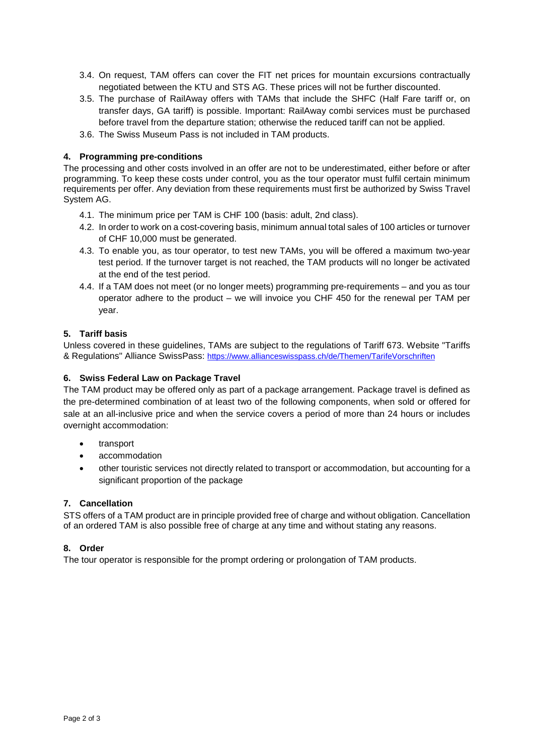- 3.4. On request, TAM offers can cover the FIT net prices for mountain excursions contractually negotiated between the KTU and STS AG. These prices will not be further discounted.
- 3.5. The purchase of RailAway offers with TAMs that include the SHFC (Half Fare tariff or, on transfer days, GA tariff) is possible. Important: RailAway combi services must be purchased before travel from the departure station; otherwise the reduced tariff can not be applied.
- 3.6. The Swiss Museum Pass is not included in TAM products.

# **4. Programming pre-conditions**

The processing and other costs involved in an offer are not to be underestimated, either before or after programming. To keep these costs under control, you as the tour operator must fulfil certain minimum requirements per offer. Any deviation from these requirements must first be authorized by Swiss Travel System AG.

- 4.1. The minimum price per TAM is CHF 100 (basis: adult, 2nd class).
- 4.2. In order to work on a cost-covering basis, minimum annual total sales of 100 articles or turnover of CHF 10,000 must be generated.
- 4.3. To enable you, as tour operator, to test new TAMs, you will be offered a maximum two-year test period. If the turnover target is not reached, the TAM products will no longer be activated at the end of the test period.
- 4.4. If a TAM does not meet (or no longer meets) programming pre-requirements and you as tour operator adhere to the product – we will invoice you CHF 450 for the renewal per TAM per year.

### **5. Tariff basis**

Unless covered in these guidelines, TAMs are subject to the regulations of Tariff 673. Website "Tariffs & Regulations" Alliance SwissPass: <https://www.allianceswisspass.ch/de/Themen/TarifeVorschriften>

### **6. Swiss Federal Law on Package Travel**

The TAM product may be offered only as part of a package arrangement. Package travel is defined as the pre-determined combination of at least two of the following components, when sold or offered for sale at an all-inclusive price and when the service covers a period of more than 24 hours or includes overnight accommodation:

- transport
- accommodation
- other touristic services not directly related to transport or accommodation, but accounting for a significant proportion of the package

# **7. Cancellation**

STS offers of a TAM product are in principle provided free of charge and without obligation. Cancellation of an ordered TAM is also possible free of charge at any time and without stating any reasons.

# **8. Order**

The tour operator is responsible for the prompt ordering or prolongation of TAM products.